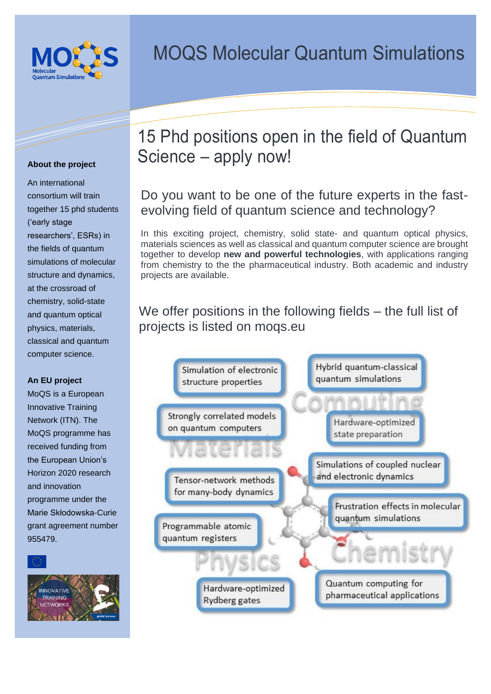

An international consortium will train together 15 phd students ('early stage researchers', ESRs) in the fields of quantum simulations of molecular structure and dynamics, at the crossroad of chemistry, solid-state and quantum optical physics, materials, classical and quantum computer science.

### **An EU project**

MoQS is a European Innovative Training Network (ITN). The MoQS programme has received funding from the European Union's Horizon 2020 research and innovation programme under the Marie Skłodowska-Curie grant agreement number 955479.



## 15 Phd positions open in the field of Quantum Science – apply now! **About the project**

## Do you want to be one of the future experts in the fastevolving field of quantum science and technology?

In this exciting project, chemistry, solid state- and quantum optical physics, materials sciences as well as classical and quantum computer science are brought together to develop **new and powerful technologies**, with applications ranging from chemistry to the the pharmaceutical industry. Both academic and industry projects are available.

### We offer positions in the following fields – the full list of projects is listed on moqs.eu